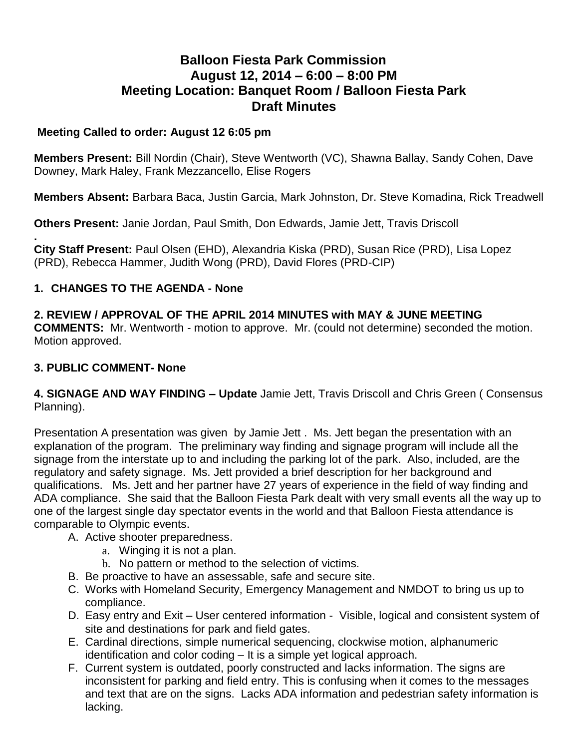# **Balloon Fiesta Park Commission August 12, 2014 – 6:00 – 8:00 PM Meeting Location: Banquet Room / Balloon Fiesta Park Draft Minutes**

#### **Meeting Called to order: August 12 6:05 pm**

**Members Present:** Bill Nordin (Chair), Steve Wentworth (VC), Shawna Ballay, Sandy Cohen, Dave Downey, Mark Haley, Frank Mezzancello, Elise Rogers

**Members Absent:** Barbara Baca, Justin Garcia, Mark Johnston, Dr. Steve Komadina, Rick Treadwell

**Others Present:** Janie Jordan, Paul Smith, Don Edwards, Jamie Jett, Travis Driscoll

**. City Staff Present:** Paul Olsen (EHD), Alexandria Kiska (PRD), Susan Rice (PRD), Lisa Lopez (PRD), Rebecca Hammer, Judith Wong (PRD), David Flores (PRD-CIP)

## **1. CHANGES TO THE AGENDA - None**

**2. REVIEW / APPROVAL OF THE APRIL 2014 MINUTES with MAY & JUNE MEETING COMMENTS:** Mr. Wentworth - motion to approve. Mr. (could not determine) seconded the motion. Motion approved.

#### **3. PUBLIC COMMENT- None**

**4. SIGNAGE AND WAY FINDING – Update** Jamie Jett, Travis Driscoll and Chris Green ( Consensus Planning).

Presentation A presentation was given by Jamie Jett . Ms. Jett began the presentation with an explanation of the program. The preliminary way finding and signage program will include all the signage from the interstate up to and including the parking lot of the park. Also, included, are the regulatory and safety signage. Ms. Jett provided a brief description for her background and qualifications. Ms. Jett and her partner have 27 years of experience in the field of way finding and ADA compliance. She said that the Balloon Fiesta Park dealt with very small events all the way up to one of the largest single day spectator events in the world and that Balloon Fiesta attendance is comparable to Olympic events.

- A. Active shooter preparedness.
	- a. Winging it is not a plan.
	- b. No pattern or method to the selection of victims.
- B. Be proactive to have an assessable, safe and secure site.
- C. Works with Homeland Security, Emergency Management and NMDOT to bring us up to compliance.
- D. Easy entry and Exit User centered information Visible, logical and consistent system of site and destinations for park and field gates.
- E. Cardinal directions, simple numerical sequencing, clockwise motion, alphanumeric identification and color coding – It is a simple yet logical approach.
- F. Current system is outdated, poorly constructed and lacks information. The signs are inconsistent for parking and field entry. This is confusing when it comes to the messages and text that are on the signs. Lacks ADA information and pedestrian safety information is lacking.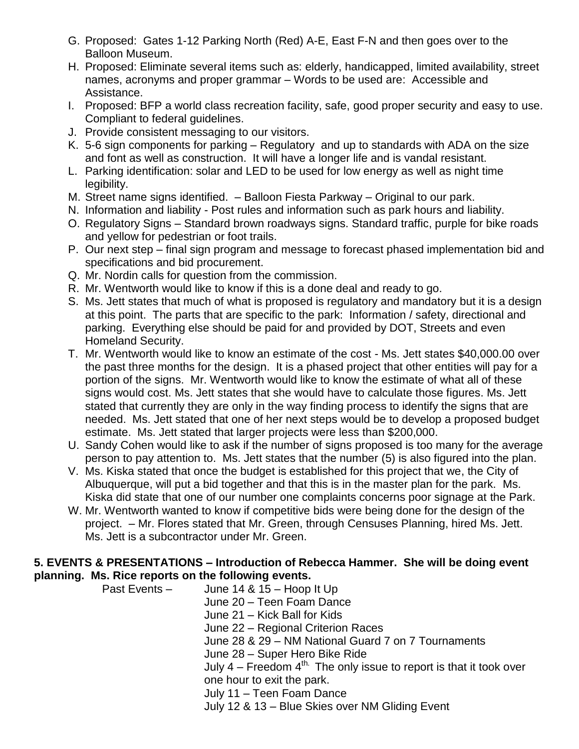- G. Proposed: Gates 1-12 Parking North (Red) A-E, East F-N and then goes over to the Balloon Museum.
- H. Proposed: Eliminate several items such as: elderly, handicapped, limited availability, street names, acronyms and proper grammar – Words to be used are: Accessible and Assistance.
- I. Proposed: BFP a world class recreation facility, safe, good proper security and easy to use. Compliant to federal guidelines.
- J. Provide consistent messaging to our visitors.
- K. 5-6 sign components for parking Regulatory and up to standards with ADA on the size and font as well as construction. It will have a longer life and is vandal resistant.
- L. Parking identification: solar and LED to be used for low energy as well as night time legibility.
- M. Street name signs identified. Balloon Fiesta Parkway Original to our park.
- N. Information and liability Post rules and information such as park hours and liability.
- O. Regulatory Signs Standard brown roadways signs. Standard traffic, purple for bike roads and yellow for pedestrian or foot trails.
- P. Our next step final sign program and message to forecast phased implementation bid and specifications and bid procurement.
- Q. Mr. Nordin calls for question from the commission.
- R. Mr. Wentworth would like to know if this is a done deal and ready to go.
- S. Ms. Jett states that much of what is proposed is regulatory and mandatory but it is a design at this point. The parts that are specific to the park: Information / safety, directional and parking. Everything else should be paid for and provided by DOT, Streets and even Homeland Security.
- T. Mr. Wentworth would like to know an estimate of the cost Ms. Jett states \$40,000.00 over the past three months for the design. It is a phased project that other entities will pay for a portion of the signs. Mr. Wentworth would like to know the estimate of what all of these signs would cost. Ms. Jett states that she would have to calculate those figures. Ms. Jett stated that currently they are only in the way finding process to identify the signs that are needed. Ms. Jett stated that one of her next steps would be to develop a proposed budget estimate. Ms. Jett stated that larger projects were less than \$200,000.
- U. Sandy Cohen would like to ask if the number of signs proposed is too many for the average person to pay attention to. Ms. Jett states that the number (5) is also figured into the plan.
- V. Ms. Kiska stated that once the budget is established for this project that we, the City of Albuquerque, will put a bid together and that this is in the master plan for the park. Ms. Kiska did state that one of our number one complaints concerns poor signage at the Park.
- W. Mr. Wentworth wanted to know if competitive bids were being done for the design of the project. – Mr. Flores stated that Mr. Green, through Censuses Planning, hired Ms. Jett. Ms. Jett is a subcontractor under Mr. Green.

#### **5. EVENTS & PRESENTATIONS – Introduction of Rebecca Hammer. She will be doing event planning. Ms. Rice reports on the following events.**

Past Events – June 14 & 15 – Hoop It Up June 20 – Teen Foam Dance June 21 – Kick Ball for Kids June 22 – Regional Criterion Races June 28 & 29 – NM National Guard 7 on 7 Tournaments June 28 – Super Hero Bike Ride July  $4$  – Freedom  $4^{\text{th}}$ . The only issue to report is that it took over one hour to exit the park. July 11 – Teen Foam Dance July 12 & 13 – Blue Skies over NM Gliding Event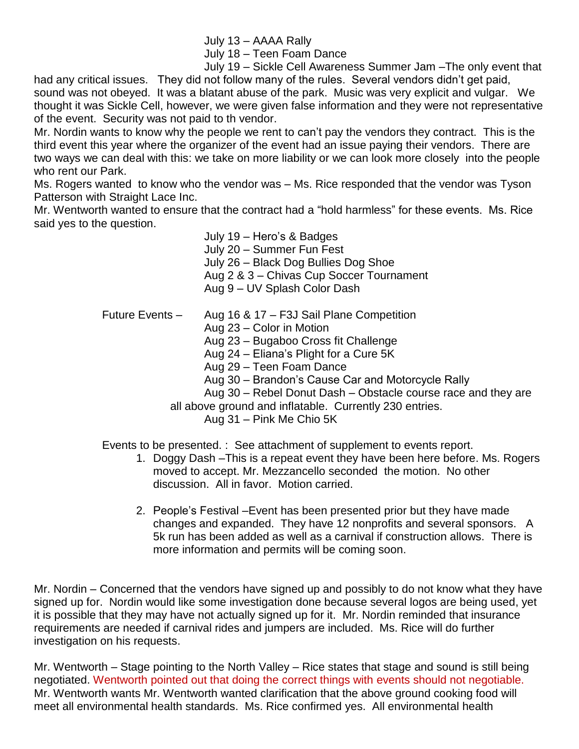July 13 – AAAA Rally

July 18 – Teen Foam Dance

July 19 – Sickle Cell Awareness Summer Jam –The only event that

had any critical issues. They did not follow many of the rules. Several vendors didn't get paid, sound was not obeyed. It was a blatant abuse of the park. Music was very explicit and vulgar. We thought it was Sickle Cell, however, we were given false information and they were not representative of the event. Security was not paid to th vendor.

Mr. Nordin wants to know why the people we rent to can't pay the vendors they contract. This is the third event this year where the organizer of the event had an issue paying their vendors. There are two ways we can deal with this: we take on more liability or we can look more closely into the people who rent our Park.

Ms. Rogers wanted to know who the vendor was – Ms. Rice responded that the vendor was Tyson Patterson with Straight Lace Inc.

Mr. Wentworth wanted to ensure that the contract had a "hold harmless" for these events. Ms. Rice said yes to the question.

> July 19 – Hero's & Badges July 20 – Summer Fun Fest July 26 – Black Dog Bullies Dog Shoe Aug 2 & 3 – Chivas Cup Soccer Tournament Aug 9 – UV Splash Color Dash

Future Events – Aug 16 & 17 – F3J Sail Plane Competition Aug 23 – Color in Motion Aug 23 – Bugaboo Cross fit Challenge Aug 24 – Eliana's Plight for a Cure 5K Aug 29 – Teen Foam Dance Aug 30 – Brandon's Cause Car and Motorcycle Rally Aug 30 – Rebel Donut Dash – Obstacle course race and they are all above ground and inflatable. Currently 230 entries. Aug 31 – Pink Me Chio 5K

Events to be presented. : See attachment of supplement to events report.

- 1. Doggy Dash –This is a repeat event they have been here before. Ms. Rogers moved to accept. Mr. Mezzancello seconded the motion. No other discussion. All in favor. Motion carried.
- 2. People's Festival –Event has been presented prior but they have made changes and expanded. They have 12 nonprofits and several sponsors. A 5k run has been added as well as a carnival if construction allows. There is more information and permits will be coming soon.

Mr. Nordin – Concerned that the vendors have signed up and possibly to do not know what they have signed up for. Nordin would like some investigation done because several logos are being used, yet it is possible that they may have not actually signed up for it. Mr. Nordin reminded that insurance requirements are needed if carnival rides and jumpers are included. Ms. Rice will do further investigation on his requests.

Mr. Wentworth – Stage pointing to the North Valley – Rice states that stage and sound is still being negotiated. Wentworth pointed out that doing the correct things with events should not negotiable. Mr. Wentworth wants Mr. Wentworth wanted clarification that the above ground cooking food will meet all environmental health standards. Ms. Rice confirmed yes. All environmental health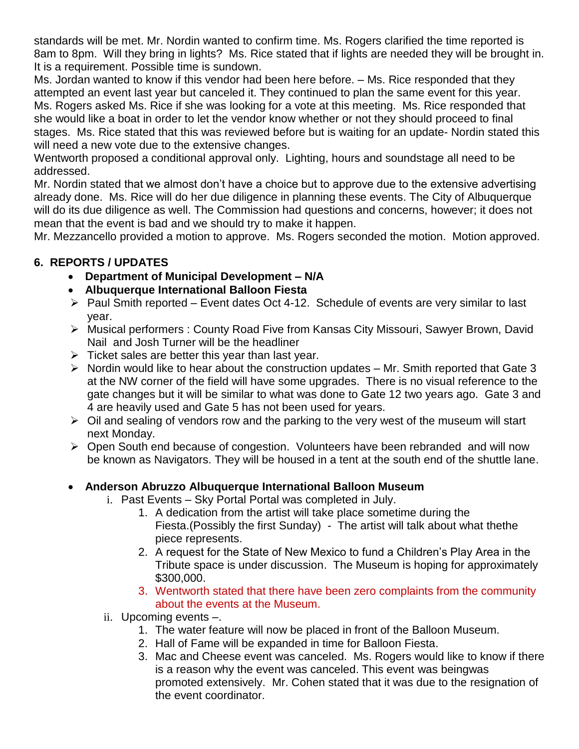standards will be met. Mr. Nordin wanted to confirm time. Ms. Rogers clarified the time reported is 8am to 8pm. Will they bring in lights? Ms. Rice stated that if lights are needed they will be brought in. It is a requirement. Possible time is sundown.

Ms. Jordan wanted to know if this vendor had been here before. – Ms. Rice responded that they attempted an event last year but canceled it. They continued to plan the same event for this year. Ms. Rogers asked Ms. Rice if she was looking for a vote at this meeting. Ms. Rice responded that she would like a boat in order to let the vendor know whether or not they should proceed to final stages. Ms. Rice stated that this was reviewed before but is waiting for an update- Nordin stated this will need a new vote due to the extensive changes.

Wentworth proposed a conditional approval only. Lighting, hours and soundstage all need to be addressed.

Mr. Nordin stated that we almost don't have a choice but to approve due to the extensive advertising already done. Ms. Rice will do her due diligence in planning these events. The City of Albuquerque will do its due diligence as well. The Commission had questions and concerns, however; it does not mean that the event is bad and we should try to make it happen.

Mr. Mezzancello provided a motion to approve. Ms. Rogers seconded the motion. Motion approved.

## **6. REPORTS / UPDATES**

- **Department of Municipal Development – N/A**
- **Albuquerque International Balloon Fiesta**
- $\triangleright$  Paul Smith reported Event dates Oct 4-12. Schedule of events are very similar to last year.
- Musical performers : County Road Five from Kansas City Missouri, Sawyer Brown, David Nail and Josh Turner will be the headliner
- $\triangleright$  Ticket sales are better this year than last year.
- $\triangleright$  Nordin would like to hear about the construction updates Mr. Smith reported that Gate 3 at the NW corner of the field will have some upgrades. There is no visual reference to the gate changes but it will be similar to what was done to Gate 12 two years ago. Gate 3 and 4 are heavily used and Gate 5 has not been used for years.
- $\triangleright$  Oil and sealing of vendors row and the parking to the very west of the museum will start next Monday.
- Open South end because of congestion. Volunteers have been rebranded and will now be known as Navigators. They will be housed in a tent at the south end of the shuttle lane.

## **Anderson Abruzzo Albuquerque International Balloon Museum**

- i. Past Events Sky Portal Portal was completed in July.
	- 1. A dedication from the artist will take place sometime during the Fiesta.(Possibly the first Sunday) - The artist will talk about what thethe piece represents.
	- 2. A request for the State of New Mexico to fund a Children's Play Area in the Tribute space is under discussion. The Museum is hoping for approximately \$300,000.
	- 3. Wentworth stated that there have been zero complaints from the community about the events at the Museum.
- ii. Upcoming events –.
	- 1. The water feature will now be placed in front of the Balloon Museum.
	- 2. Hall of Fame will be expanded in time for Balloon Fiesta.
	- 3. Mac and Cheese event was canceled. Ms. Rogers would like to know if there is a reason why the event was canceled. This event was beingwas promoted extensively. Mr. Cohen stated that it was due to the resignation of the event coordinator.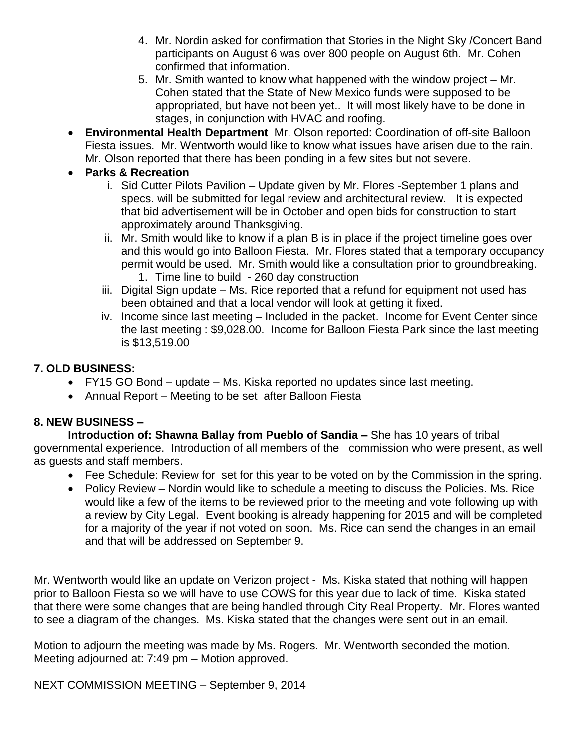- 4. Mr. Nordin asked for confirmation that Stories in the Night Sky /Concert Band participants on August 6 was over 800 people on August 6th. Mr. Cohen confirmed that information.
- 5. Mr. Smith wanted to know what happened with the window project Mr. Cohen stated that the State of New Mexico funds were supposed to be appropriated, but have not been yet.. It will most likely have to be done in stages, in conjunction with HVAC and roofing.
- **Environmental Health Department** Mr. Olson reported: Coordination of off-site Balloon Fiesta issues. Mr. Wentworth would like to know what issues have arisen due to the rain. Mr. Olson reported that there has been ponding in a few sites but not severe.
- **Parks & Recreation**
	- i. Sid Cutter Pilots Pavilion Update given by Mr. Flores -September 1 plans and specs. will be submitted for legal review and architectural review. It is expected that bid advertisement will be in October and open bids for construction to start approximately around Thanksgiving.
	- ii. Mr. Smith would like to know if a plan B is in place if the project timeline goes over and this would go into Balloon Fiesta. Mr. Flores stated that a temporary occupancy permit would be used. Mr. Smith would like a consultation prior to groundbreaking. 1. Time line to build - 260 day construction
	- iii. Digital Sign update Ms. Rice reported that a refund for equipment not used has been obtained and that a local vendor will look at getting it fixed.
	- iv. Income since last meeting Included in the packet. Income for Event Center since the last meeting : \$9,028.00. Income for Balloon Fiesta Park since the last meeting is \$13,519.00

## **7. OLD BUSINESS:**

- FY15 GO Bond update Ms. Kiska reported no updates since last meeting.
- Annual Report Meeting to be set after Balloon Fiesta

## **8. NEW BUSINESS –**

**Introduction of: Shawna Ballay from Pueblo of Sandia –** She has 10 years of tribal governmental experience. Introduction of all members of the commission who were present, as well as guests and staff members.

- Fee Schedule: Review for set for this year to be voted on by the Commission in the spring.
- Policy Review Nordin would like to schedule a meeting to discuss the Policies. Ms. Rice would like a few of the items to be reviewed prior to the meeting and vote following up with a review by City Legal. Event booking is already happening for 2015 and will be completed for a majority of the year if not voted on soon. Ms. Rice can send the changes in an email and that will be addressed on September 9.

Mr. Wentworth would like an update on Verizon project - Ms. Kiska stated that nothing will happen prior to Balloon Fiesta so we will have to use COWS for this year due to lack of time. Kiska stated that there were some changes that are being handled through City Real Property. Mr. Flores wanted to see a diagram of the changes. Ms. Kiska stated that the changes were sent out in an email.

Motion to adjourn the meeting was made by Ms. Rogers. Mr. Wentworth seconded the motion. Meeting adjourned at: 7:49 pm – Motion approved.

NEXT COMMISSION MEETING – September 9, 2014